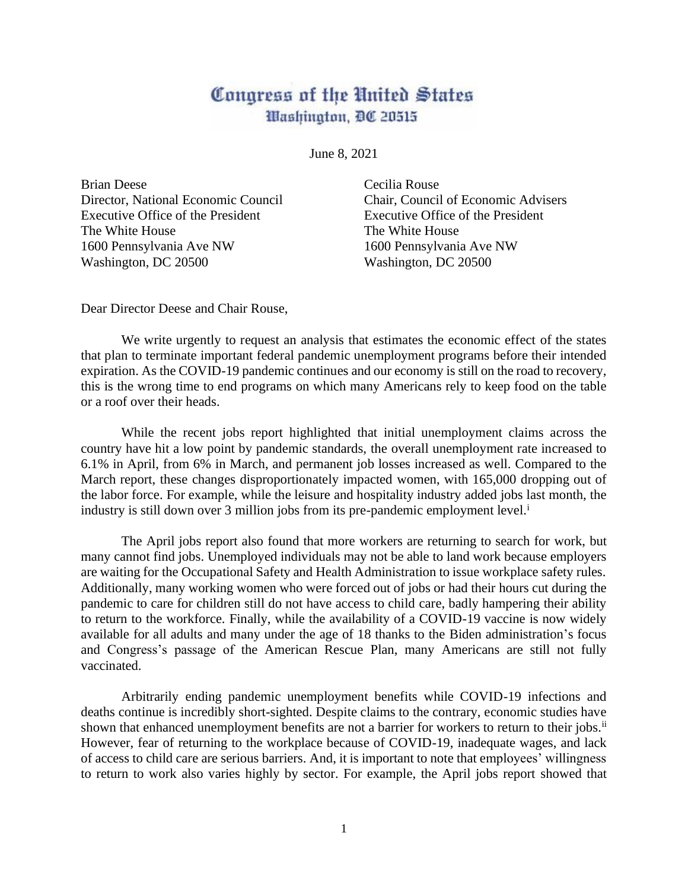## Congress of the United States Washington, DC 20515

June 8, 2021

Brian Deese Cecilia Rouse Executive Office of the President Executive Office of the President The White House The White House 1600 Pennsylvania Ave NW 1600 Pennsylvania Ave NW Washington, DC 20500 Washington, DC 20500

Director, National Economic Council Chair, Council of Economic Advisers

Dear Director Deese and Chair Rouse,

We write urgently to request an analysis that estimates the economic effect of the states that plan to terminate important federal pandemic unemployment programs before their intended expiration. As the COVID-19 pandemic continues and our economy is still on the road to recovery, this is the wrong time to end programs on which many Americans rely to keep food on the table or a roof over their heads.

While the recent jobs report highlighted that initial unemployment claims across the country have hit a low point by pandemic standards, the overall unemployment rate increased to 6.1% in April, from 6% in March, and permanent job losses increased as well. Compared to the March report, these changes disproportionately impacted women, with 165,000 dropping out of the labor force. For example, while the leisure and hospitality industry added jobs last month, the industry is still down over 3 million jobs from its pre-pandemic employment level.<sup>i</sup>

The April jobs report also found that more workers are returning to search for work, but many cannot find jobs. Unemployed individuals may not be able to land work because employers are waiting for the Occupational Safety and Health Administration to issue workplace safety rules. Additionally, many working women who were forced out of jobs or had their hours cut during the pandemic to care for children still do not have access to child care, badly hampering their ability to return to the workforce. Finally, while the availability of a COVID-19 vaccine is now widely available for all adults and many under the age of 18 thanks to the Biden administration's focus and Congress's passage of the American Rescue Plan, many Americans are still not fully vaccinated.

Arbitrarily ending pandemic unemployment benefits while COVID-19 infections and deaths continue is incredibly short-sighted. Despite claims to the contrary, economic studies have shown that enhanced unemployment benefits are not a barrier for workers to return to their jobs.<sup>ii</sup> However, fear of returning to the workplace because of COVID-19, inadequate wages, and lack of access to child care are serious barriers. And, it is important to note that employees' willingness to return to work also varies highly by sector. For example, the April jobs report showed that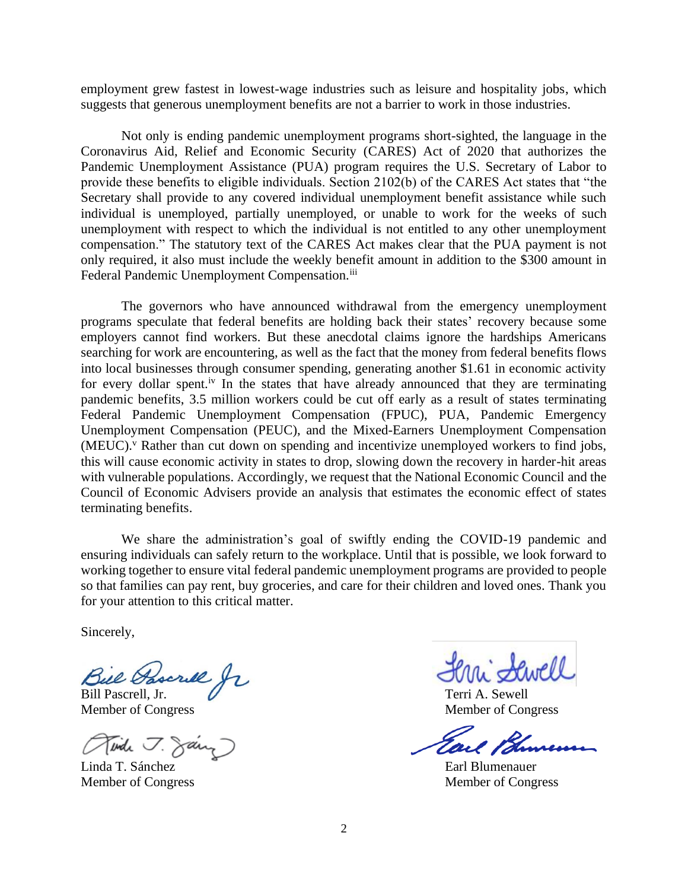employment grew fastest in lowest-wage industries such as leisure and hospitality jobs, which suggests that generous unemployment benefits are not a barrier to work in those industries.

Not only is ending pandemic unemployment programs short-sighted, the language in the Coronavirus Aid, Relief and Economic Security (CARES) Act of 2020 that authorizes the Pandemic Unemployment Assistance (PUA) program requires the U.S. Secretary of Labor to provide these benefits to eligible individuals. Section 2102(b) of the CARES Act states that "the Secretary shall provide to any covered individual unemployment benefit assistance while such individual is unemployed, partially unemployed, or unable to work for the weeks of such unemployment with respect to which the individual is not entitled to any other unemployment compensation." The statutory text of the CARES Act makes clear that the PUA payment is not only required, it also must include the weekly benefit amount in addition to the \$300 amount in Federal Pandemic Unemployment Compensation.<sup>iii</sup>

The governors who have announced withdrawal from the emergency unemployment programs speculate that federal benefits are holding back their states' recovery because some employers cannot find workers. But these anecdotal claims ignore the hardships Americans searching for work are encountering, as well as the fact that the money from federal benefits flows into local businesses through consumer spending, generating another \$1.61 in economic activity for every dollar spent.<sup>iv</sup> In the states that have already announced that they are terminating pandemic benefits, 3.5 million workers could be cut off early as a result of states terminating Federal Pandemic Unemployment Compensation (FPUC), PUA, Pandemic Emergency Unemployment Compensation (PEUC), and the Mixed-Earners Unemployment Compensation (MEUC).<sup>v</sup> Rather than cut down on spending and incentivize unemployed workers to find jobs, this will cause economic activity in states to drop, slowing down the recovery in harder-hit areas with vulnerable populations. Accordingly, we request that the National Economic Council and the Council of Economic Advisers provide an analysis that estimates the economic effect of states terminating benefits.

We share the administration's goal of swiftly ending the COVID-19 pandemic and ensuring individuals can safely return to the workplace. Until that is possible, we look forward to working together to ensure vital federal pandemic unemployment programs are provided to people so that families can pay rent, buy groceries, and care for their children and loved ones. Thank you for your attention to this critical matter.

Sincerely,

Bill Pascrell, Jr. Terri A. Sewell

Member of Congress Member of Congress

Tinde J. Sary

Linda T. Sánchez **Earl Blumenauer** 

Tail 13

Member of Congress Member of Congress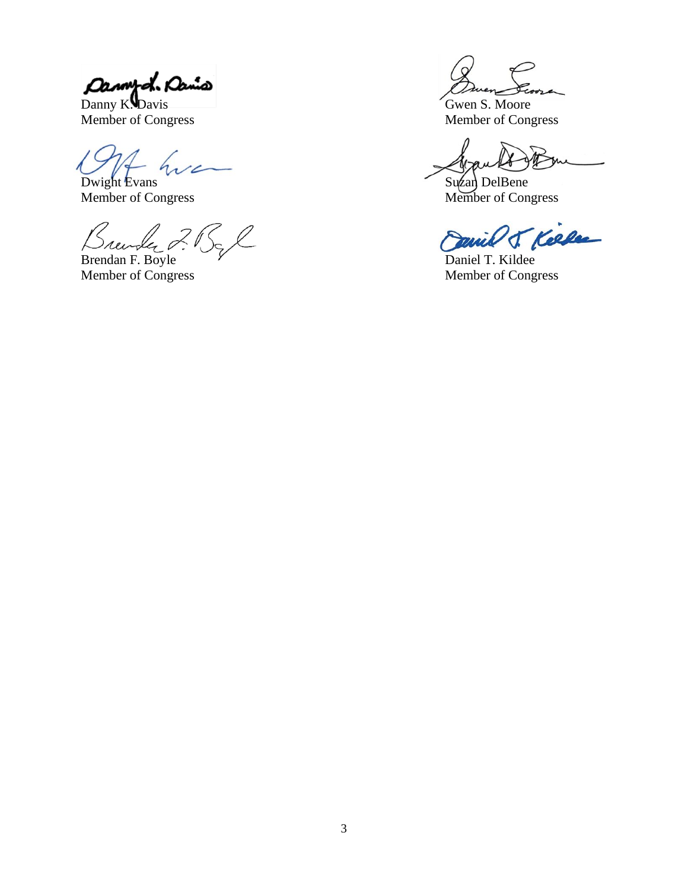Dannyd. Danis

Danny K. Davis<br>
Member of Congress<br>
Member of Congress

 $\overline{\mathcal{L}}$ Dwight Evans Suzan DelBene

Member of Congress Member of Congress

 $\ell$ 2 l

Brendan F. Boyle V<br>
Member of Congress Member of Congress

Member of Congress

T. Kelle mil

Member of Congress